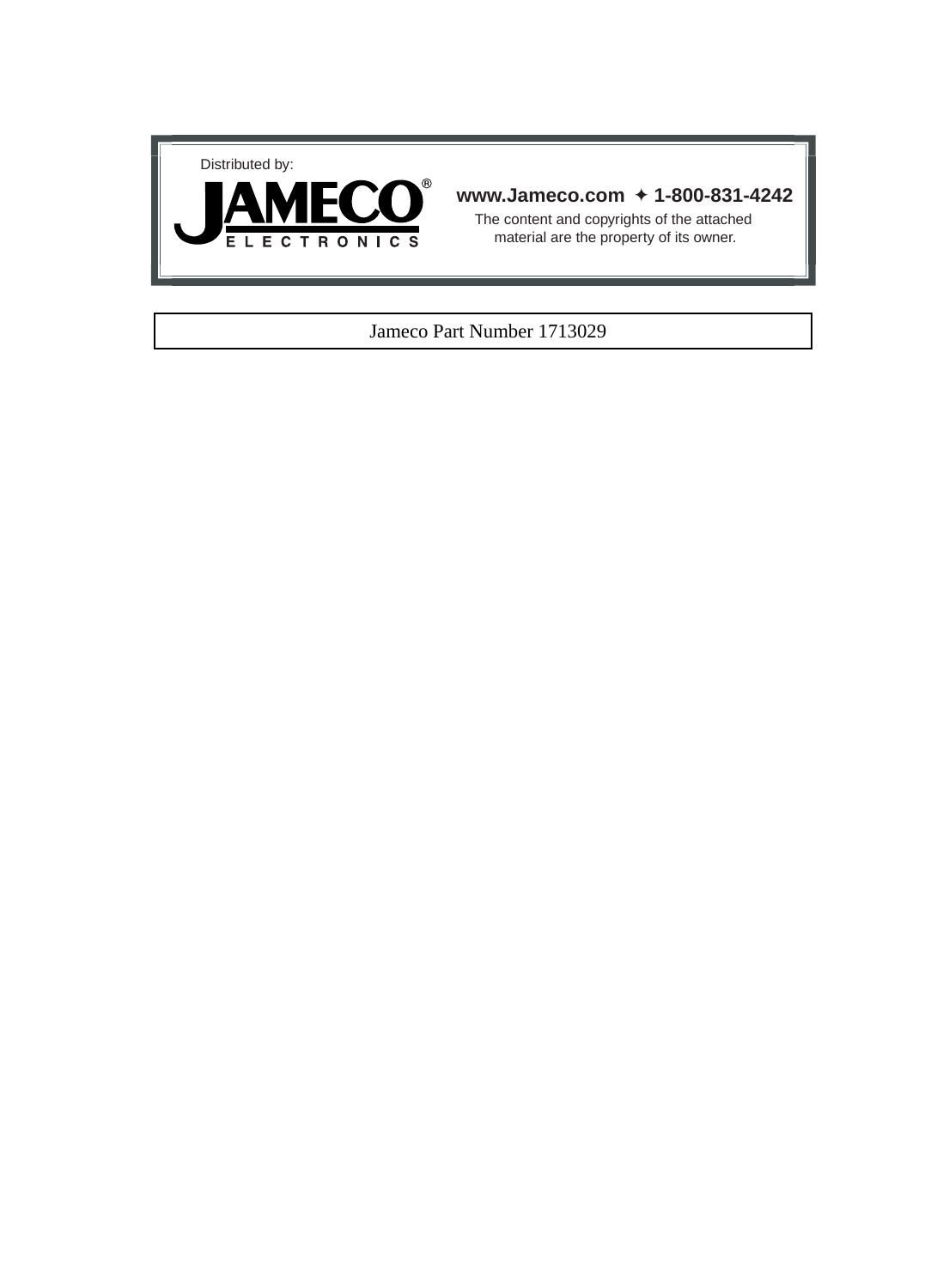



## **www.Jameco.com** ✦ **1-800-831-4242**

The content and copyrights of the attached material are the property of its owner.

## Jameco Part Number 1713029